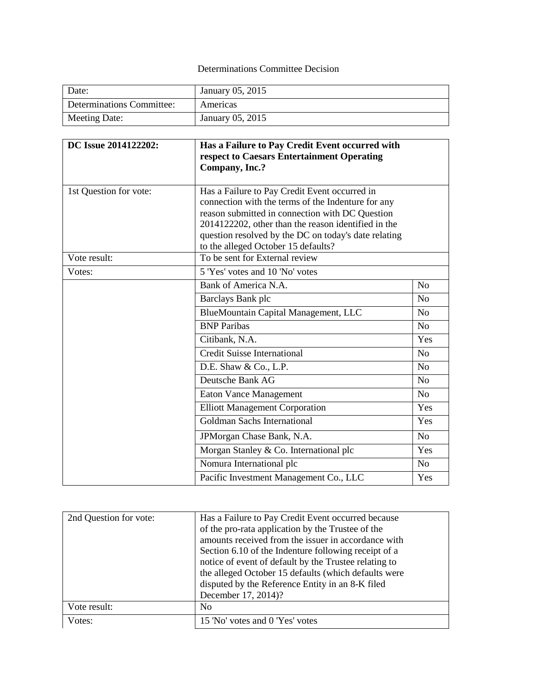## Determinations Committee Decision

| Date:                     | January 05, 2015 |
|---------------------------|------------------|
| Determinations Committee: | Americas         |
| Meeting Date:             | January 05, 2015 |

| DC Issue 2014122202:   | Has a Failure to Pay Credit Event occurred with                                                        |                |
|------------------------|--------------------------------------------------------------------------------------------------------|----------------|
|                        | respect to Caesars Entertainment Operating                                                             |                |
|                        | Company, Inc.?                                                                                         |                |
|                        |                                                                                                        |                |
| 1st Question for vote: | Has a Failure to Pay Credit Event occurred in                                                          |                |
|                        | connection with the terms of the Indenture for any                                                     |                |
|                        | reason submitted in connection with DC Question<br>2014122202, other than the reason identified in the |                |
|                        | question resolved by the DC on today's date relating                                                   |                |
|                        | to the alleged October 15 defaults?                                                                    |                |
| Vote result:           | To be sent for External review                                                                         |                |
| Votes:                 | 5 'Yes' votes and 10 'No' votes                                                                        |                |
|                        | Bank of America N.A.                                                                                   | N <sub>o</sub> |
|                        | Barclays Bank plc                                                                                      | N <sub>o</sub> |
|                        | BlueMountain Capital Management, LLC                                                                   | No             |
|                        | <b>BNP</b> Paribas                                                                                     | No             |
|                        | Citibank, N.A.                                                                                         | Yes            |
|                        | <b>Credit Suisse International</b>                                                                     | N <sub>o</sub> |
|                        | D.E. Shaw & Co., L.P.                                                                                  | N <sub>o</sub> |
|                        | Deutsche Bank AG                                                                                       | N <sub>o</sub> |
|                        | <b>Eaton Vance Management</b>                                                                          | N <sub>o</sub> |
|                        | <b>Elliott Management Corporation</b>                                                                  | Yes            |
|                        | Goldman Sachs International                                                                            | Yes            |
|                        | JPMorgan Chase Bank, N.A.                                                                              | N <sub>o</sub> |
|                        | Morgan Stanley & Co. International plc                                                                 | Yes            |
|                        | Nomura International plc                                                                               | N <sub>o</sub> |
|                        | Pacific Investment Management Co., LLC                                                                 | Yes            |

| 2nd Question for vote: | Has a Failure to Pay Credit Event occurred because    |
|------------------------|-------------------------------------------------------|
|                        | of the pro-rata application by the Trustee of the     |
|                        | amounts received from the issuer in accordance with   |
|                        | Section 6.10 of the Indenture following receipt of a  |
|                        | notice of event of default by the Trustee relating to |
|                        | the alleged October 15 defaults (which defaults were  |
|                        | disputed by the Reference Entity in an 8-K filed      |
|                        | December 17, 2014)?                                   |
| Vote result:           | N <sub>0</sub>                                        |
| Votes:                 | 15 'No' votes and 0 'Yes' votes                       |